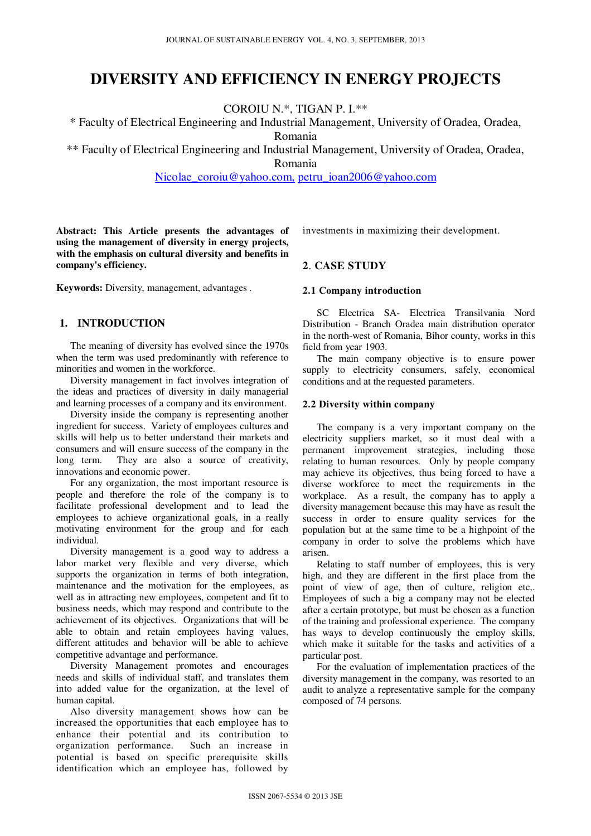# **DIVERSITY AND EFFICIENCY IN ENERGY PROJECTS**

COROIU N.\*, TIGAN P. I.\*\*

\* Faculty of Electrical Engineering and Industrial Management, University of Oradea, Oradea, Romania

\*\* Faculty of Electrical Engineering and Industrial Management, University of Oradea, Oradea,

Romania

Nicolae\_coroiu@yahoo.com, petru\_ioan2006@yahoo.com

**Abstract: This Article presents the advantages of using the management of diversity in energy projects, with the emphasis on cultural diversity and benefits in company's efficiency.** 

**Keywords:** Diversity, management, advantages .

## **1. INTRODUCTION**

The meaning of diversity has evolved since the 1970s when the term was used predominantly with reference to minorities and women in the workforce.

Diversity management in fact involves integration of the ideas and practices of diversity in daily managerial and learning processes of a company and its environment.

Diversity inside the company is representing another ingredient for success. Variety of employees cultures and skills will help us to better understand their markets and consumers and will ensure success of the company in the long term. They are also a source of creativity, innovations and economic power.

For any organization, the most important resource is people and therefore the role of the company is to facilitate professional development and to lead the employees to achieve organizational goals, in a really motivating environment for the group and for each individual.

Diversity management is a good way to address a labor market very flexible and very diverse, which supports the organization in terms of both integration, maintenance and the motivation for the employees, as well as in attracting new employees, competent and fit to business needs, which may respond and contribute to the achievement of its objectives. Organizations that will be able to obtain and retain employees having values, different attitudes and behavior will be able to achieve competitive advantage and performance.

Diversity Management promotes and encourages needs and skills of individual staff, and translates them into added value for the organization, at the level of human capital.

Also diversity management shows how can be increased the opportunities that each employee has to enhance their potential and its contribution to organization performance. Such an increase in potential is based on specific prerequisite skills identification which an employee has, followed by

investments in maximizing their development.

## **2**. **CASE STUDY**

#### **2.1 Company introduction**

SC Electrica SA- Electrica Transilvania Nord Distribution - Branch Oradea main distribution operator in the north-west of Romania, Bihor county, works in this field from year 1903.

The main company objective is to ensure power supply to electricity consumers, safely, economical conditions and at the requested parameters.

#### **2.2 Diversity within company**

The company is a very important company on the electricity suppliers market, so it must deal with a permanent improvement strategies, including those relating to human resources. Only by people company may achieve its objectives, thus being forced to have a diverse workforce to meet the requirements in the workplace. As a result, the company has to apply a diversity management because this may have as result the success in order to ensure quality services for the population but at the same time to be a highpoint of the company in order to solve the problems which have arisen.

Relating to staff number of employees, this is very high, and they are different in the first place from the point of view of age, then of culture, religion etc,. Employees of such a big a company may not be elected after a certain prototype, but must be chosen as a function of the training and professional experience. The company has ways to develop continuously the employ skills, which make it suitable for the tasks and activities of a particular post.

For the evaluation of implementation practices of the diversity management in the company, was resorted to an audit to analyze a representative sample for the company composed of 74 persons.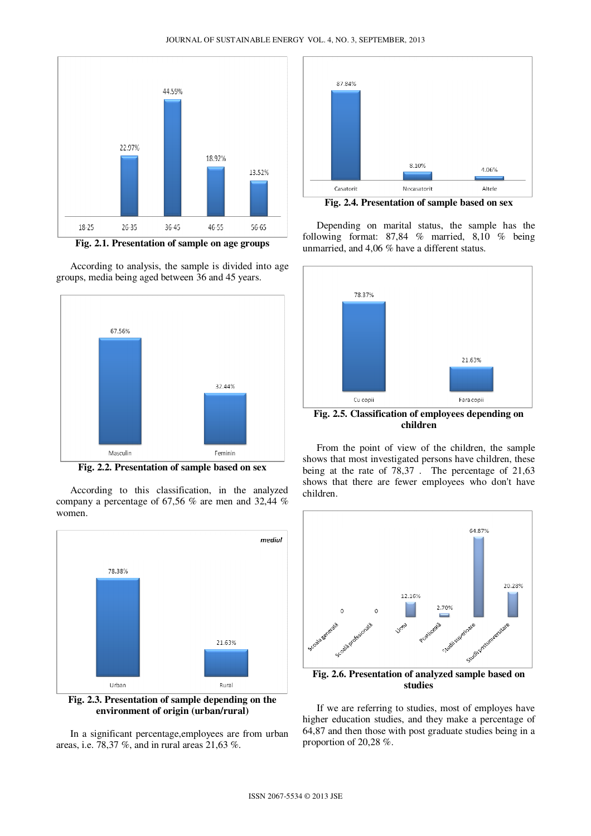

**Fig. 2.1. Presentation of sample on age groups** 

According to analysis, the sample is divided into age groups, media being aged between 36 and 45 years.



**Fig. 2.2. Presentation of sample based on sex** 

According to this classification, in the analyzed company a percentage of 67,56 % are men and 32,44 % women.



**Fig. 2.3. Presentation of sample depending on the environment of origin (urban/rural)** 

In a significant percentage,employees are from urban areas, i.e. 78,37 %, and in rural areas 21,63 %.



**Fig. 2.4. Presentation of sample based on sex** 

Depending on marital status, the sample has the following format: 87,84 % married, 8,10 % being unmarried, and 4,06 % have a different status.



**children** 

From the point of view of the children, the sample shows that most investigated persons have children, these being at the rate of 78,37 . The percentage of 21,63 shows that there are fewer employees who don't have children.



**studies** 

If we are referring to studies, most of employes have higher education studies, and they make a percentage of 64,87 and then those with post graduate studies being in a proportion of 20,28 %.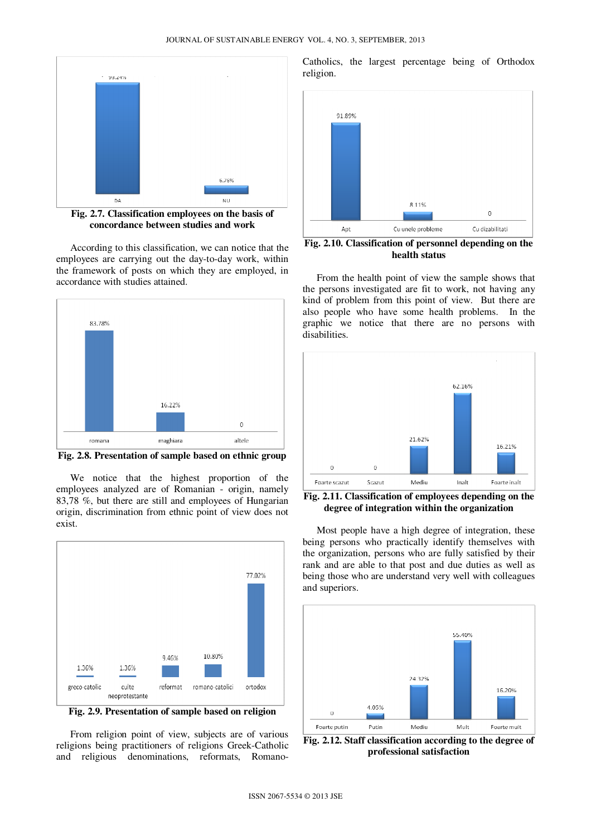

**Fig. 2.7. Classification employees on the basis of concordance between studies and work** 

According to this classification, we can notice that the employees are carrying out the day-to-day work, within the framework of posts on which they are employed, in accordance with studies attained.



**Fig. 2.8. Presentation of sample based on ethnic group** 

We notice that the highest proportion of the employees analyzed are of Romanian - origin, namely 83,78 %, but there are still and employees of Hungarian origin, discrimination from ethnic point of view does not exist.



**Fig. 2.9. Presentation of sample based on religion** 

From religion point of view, subjects are of various religions being practitioners of religions Greek-Catholic and religious denominations, reformats, RomanoCatholics, the largest percentage being of Orthodox religion.



**Fig. 2.10. Classification of personnel depending on the health status** 

From the health point of view the sample shows that the persons investigated are fit to work, not having any kind of problem from this point of view. But there are also people who have some health problems. In the graphic we notice that there are no persons with disabilities.



**Fig. 2.11. Classification of employees depending on the degree of integration within the organization** 

Most people have a high degree of integration, these being persons who practically identify themselves with the organization, persons who are fully satisfied by their rank and are able to that post and due duties as well as being those who are understand very well with colleagues and superiors.



**Fig. 2.12. Staff classification according to the degree of professional satisfaction**